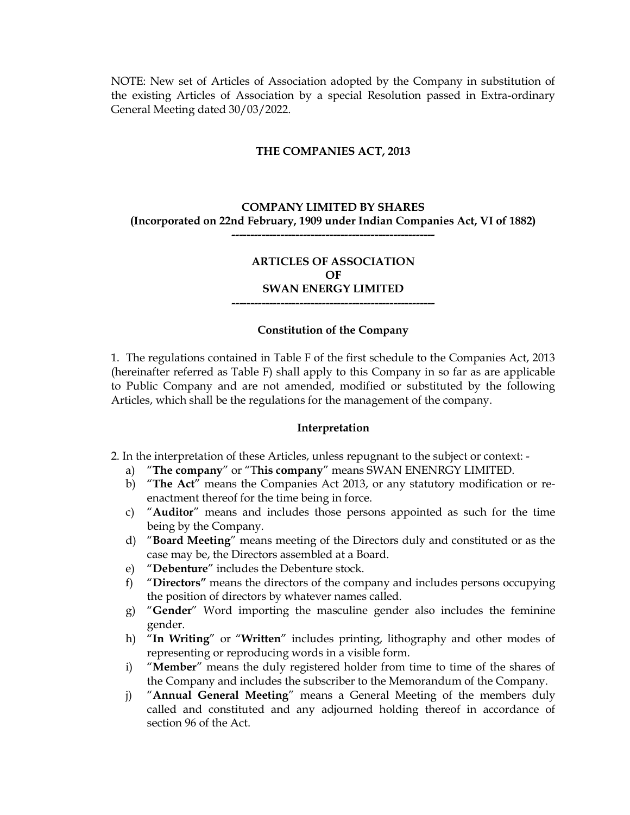NOTE: New set of Articles of Association adopted by the Company in substitution of the existing Articles of Association by a special Resolution passed in Extra-ordinary General Meeting dated 30/03/2022.

#### THE COMPANIES ACT, 2013

#### COMPANY LIMITED BY SHARES (Incorporated on 22nd February, 1909 under Indian Companies Act, VI of 1882) ------------------------------------------------------

#### ARTICLES OF ASSOCIATION OF SWAN ENERGY LIMITED ------------------------------------------------------

#### Constitution of the Company

1. The regulations contained in Table F of the first schedule to the Companies Act, 2013 (hereinafter referred as Table F) shall apply to this Company in so far as are applicable to Public Company and are not amended, modified or substituted by the following Articles, which shall be the regulations for the management of the company.

#### Interpretation

- 2. In the interpretation of these Articles, unless repugnant to the subject or context:
	- a) "The company" or "This company" means SWAN ENENRGY LIMITED.
	- b) "The Act" means the Companies Act 2013, or any statutory modification or reenactment thereof for the time being in force.
	- c) "Auditor" means and includes those persons appointed as such for the time being by the Company.
	- d) "Board Meeting" means meeting of the Directors duly and constituted or as the case may be, the Directors assembled at a Board.
	- e) "Debenture" includes the Debenture stock.
	- f) "Directors" means the directors of the company and includes persons occupying the position of directors by whatever names called.
	- g) "Gender" Word importing the masculine gender also includes the feminine gender.
	- h) "In Writing" or "Written" includes printing, lithography and other modes of representing or reproducing words in a visible form.
	- i) "Member" means the duly registered holder from time to time of the shares of the Company and includes the subscriber to the Memorandum of the Company.
	- j) "Annual General Meeting" means a General Meeting of the members duly called and constituted and any adjourned holding thereof in accordance of section 96 of the Act.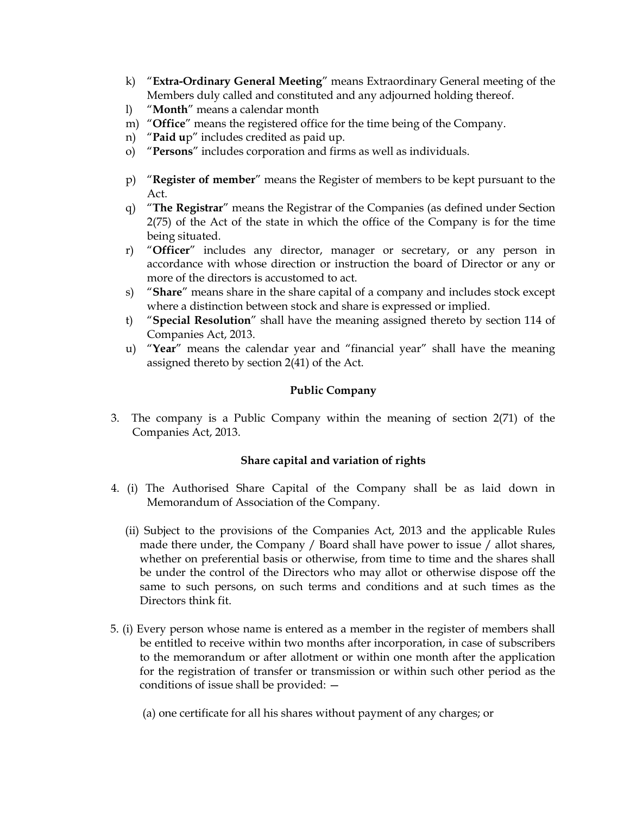- k) "Extra-Ordinary General Meeting" means Extraordinary General meeting of the Members duly called and constituted and any adjourned holding thereof.
- l) "Month" means a calendar month
- m) "Office" means the registered office for the time being of the Company.
- n) "Paid up" includes credited as paid up.
- o) "Persons" includes corporation and firms as well as individuals.
- p) "Register of member" means the Register of members to be kept pursuant to the Act.
- q) "The Registrar" means the Registrar of the Companies (as defined under Section 2(75) of the Act of the state in which the office of the Company is for the time being situated.
- r) "Officer" includes any director, manager or secretary, or any person in accordance with whose direction or instruction the board of Director or any or more of the directors is accustomed to act.
- s) "Share" means share in the share capital of a company and includes stock except where a distinction between stock and share is expressed or implied.
- t) "Special Resolution" shall have the meaning assigned thereto by section 114 of Companies Act, 2013.
- u) "Year" means the calendar year and "financial year" shall have the meaning assigned thereto by section 2(41) of the Act.

## Public Company

3. The company is a Public Company within the meaning of section 2(71) of the Companies Act, 2013.

## Share capital and variation of rights

- 4. (i) The Authorised Share Capital of the Company shall be as laid down in Memorandum of Association of the Company.
	- (ii) Subject to the provisions of the Companies Act, 2013 and the applicable Rules made there under, the Company / Board shall have power to issue / allot shares, whether on preferential basis or otherwise, from time to time and the shares shall be under the control of the Directors who may allot or otherwise dispose off the same to such persons, on such terms and conditions and at such times as the Directors think fit.
- 5. (i) Every person whose name is entered as a member in the register of members shall be entitled to receive within two months after incorporation, in case of subscribers to the memorandum or after allotment or within one month after the application for the registration of transfer or transmission or within such other period as the conditions of issue shall be provided: —
	- (a) one certificate for all his shares without payment of any charges; or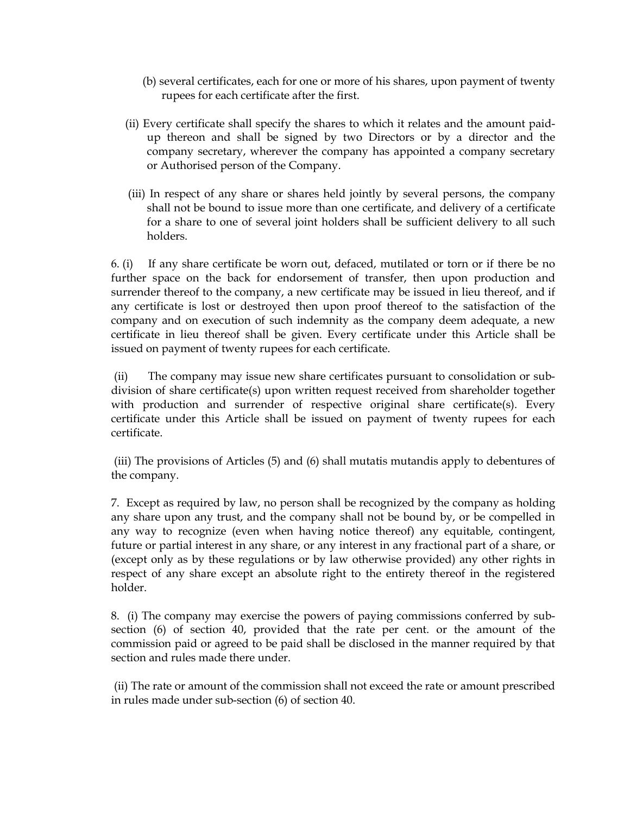- (b) several certificates, each for one or more of his shares, upon payment of twenty rupees for each certificate after the first.
- (ii) Every certificate shall specify the shares to which it relates and the amount paidup thereon and shall be signed by two Directors or by a director and the company secretary, wherever the company has appointed a company secretary or Authorised person of the Company.
- (iii) In respect of any share or shares held jointly by several persons, the company shall not be bound to issue more than one certificate, and delivery of a certificate for a share to one of several joint holders shall be sufficient delivery to all such holders.

6. (i) If any share certificate be worn out, defaced, mutilated or torn or if there be no further space on the back for endorsement of transfer, then upon production and surrender thereof to the company, a new certificate may be issued in lieu thereof, and if any certificate is lost or destroyed then upon proof thereof to the satisfaction of the company and on execution of such indemnity as the company deem adequate, a new certificate in lieu thereof shall be given. Every certificate under this Article shall be issued on payment of twenty rupees for each certificate.

 (ii) The company may issue new share certificates pursuant to consolidation or subdivision of share certificate(s) upon written request received from shareholder together with production and surrender of respective original share certificate(s). Every certificate under this Article shall be issued on payment of twenty rupees for each certificate.

 (iii) The provisions of Articles (5) and (6) shall mutatis mutandis apply to debentures of the company.

7. Except as required by law, no person shall be recognized by the company as holding any share upon any trust, and the company shall not be bound by, or be compelled in any way to recognize (even when having notice thereof) any equitable, contingent, future or partial interest in any share, or any interest in any fractional part of a share, or (except only as by these regulations or by law otherwise provided) any other rights in respect of any share except an absolute right to the entirety thereof in the registered holder.

8. (i) The company may exercise the powers of paying commissions conferred by subsection (6) of section 40, provided that the rate per cent. or the amount of the commission paid or agreed to be paid shall be disclosed in the manner required by that section and rules made there under.

 (ii) The rate or amount of the commission shall not exceed the rate or amount prescribed in rules made under sub-section (6) of section 40.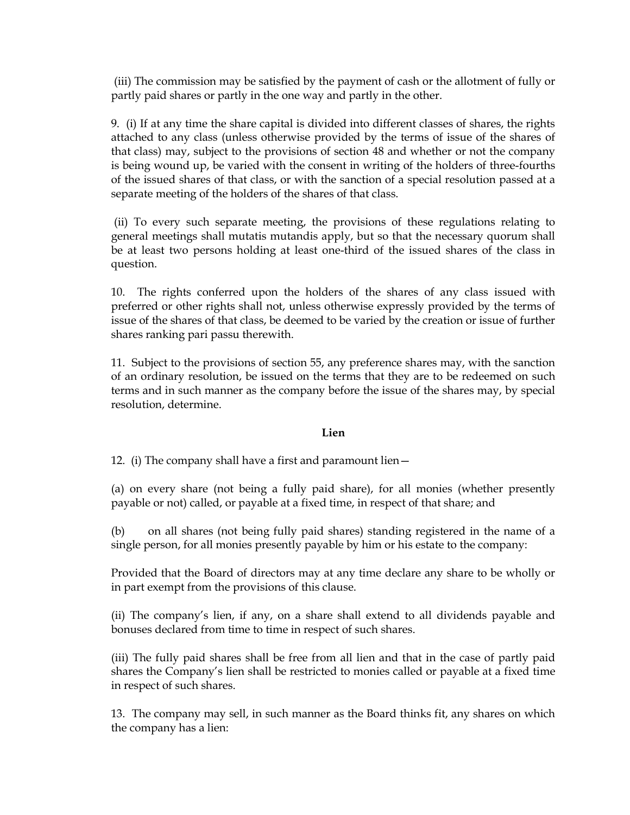(iii) The commission may be satisfied by the payment of cash or the allotment of fully or partly paid shares or partly in the one way and partly in the other.

9. (i) If at any time the share capital is divided into different classes of shares, the rights attached to any class (unless otherwise provided by the terms of issue of the shares of that class) may, subject to the provisions of section 48 and whether or not the company is being wound up, be varied with the consent in writing of the holders of three-fourths of the issued shares of that class, or with the sanction of a special resolution passed at a separate meeting of the holders of the shares of that class.

 (ii) To every such separate meeting, the provisions of these regulations relating to general meetings shall mutatis mutandis apply, but so that the necessary quorum shall be at least two persons holding at least one-third of the issued shares of the class in question.

10. The rights conferred upon the holders of the shares of any class issued with preferred or other rights shall not, unless otherwise expressly provided by the terms of issue of the shares of that class, be deemed to be varied by the creation or issue of further shares ranking pari passu therewith.

11. Subject to the provisions of section 55, any preference shares may, with the sanction of an ordinary resolution, be issued on the terms that they are to be redeemed on such terms and in such manner as the company before the issue of the shares may, by special resolution, determine.

#### Lien

12. (i) The company shall have a first and paramount lien—

(a) on every share (not being a fully paid share), for all monies (whether presently payable or not) called, or payable at a fixed time, in respect of that share; and

(b) on all shares (not being fully paid shares) standing registered in the name of a single person, for all monies presently payable by him or his estate to the company:

Provided that the Board of directors may at any time declare any share to be wholly or in part exempt from the provisions of this clause.

(ii) The company's lien, if any, on a share shall extend to all dividends payable and bonuses declared from time to time in respect of such shares.

(iii) The fully paid shares shall be free from all lien and that in the case of partly paid shares the Company's lien shall be restricted to monies called or payable at a fixed time in respect of such shares.

13. The company may sell, in such manner as the Board thinks fit, any shares on which the company has a lien: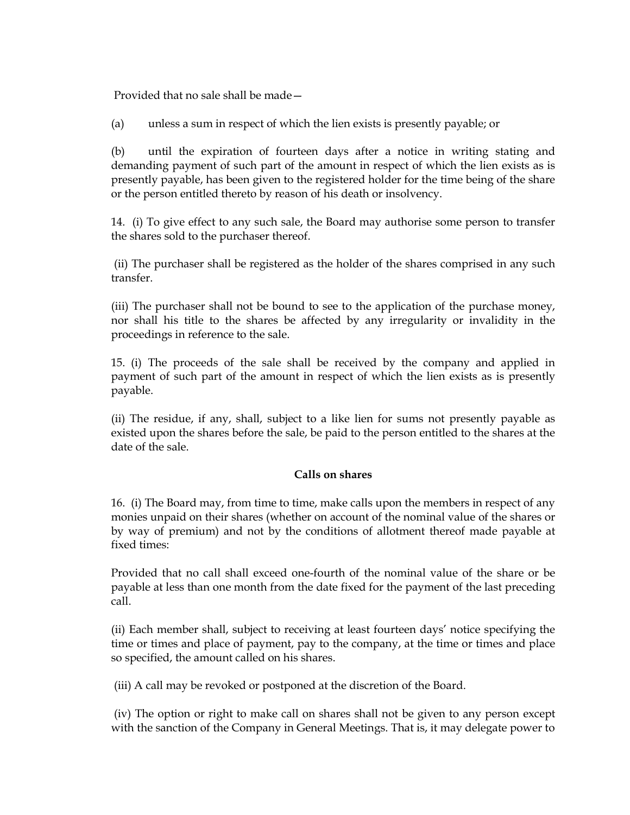Provided that no sale shall be made—

(a) unless a sum in respect of which the lien exists is presently payable; or

(b) until the expiration of fourteen days after a notice in writing stating and demanding payment of such part of the amount in respect of which the lien exists as is presently payable, has been given to the registered holder for the time being of the share or the person entitled thereto by reason of his death or insolvency.

14. (i) To give effect to any such sale, the Board may authorise some person to transfer the shares sold to the purchaser thereof.

 (ii) The purchaser shall be registered as the holder of the shares comprised in any such transfer.

(iii) The purchaser shall not be bound to see to the application of the purchase money, nor shall his title to the shares be affected by any irregularity or invalidity in the proceedings in reference to the sale.

15. (i) The proceeds of the sale shall be received by the company and applied in payment of such part of the amount in respect of which the lien exists as is presently payable.

(ii) The residue, if any, shall, subject to a like lien for sums not presently payable as existed upon the shares before the sale, be paid to the person entitled to the shares at the date of the sale.

## Calls on shares

16. (i) The Board may, from time to time, make calls upon the members in respect of any monies unpaid on their shares (whether on account of the nominal value of the shares or by way of premium) and not by the conditions of allotment thereof made payable at fixed times:

Provided that no call shall exceed one-fourth of the nominal value of the share or be payable at less than one month from the date fixed for the payment of the last preceding call.

(ii) Each member shall, subject to receiving at least fourteen days' notice specifying the time or times and place of payment, pay to the company, at the time or times and place so specified, the amount called on his shares.

(iii) A call may be revoked or postponed at the discretion of the Board.

 (iv) The option or right to make call on shares shall not be given to any person except with the sanction of the Company in General Meetings. That is, it may delegate power to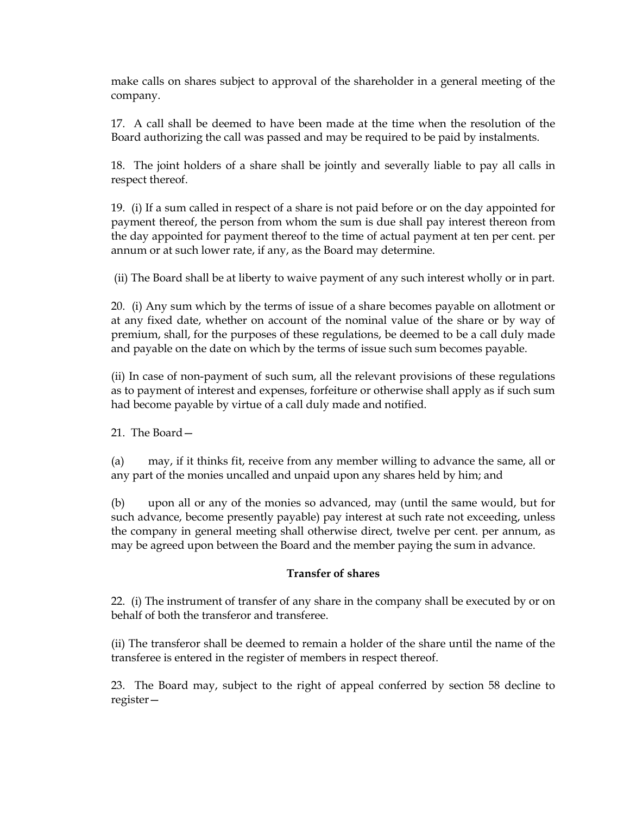make calls on shares subject to approval of the shareholder in a general meeting of the company.

17. A call shall be deemed to have been made at the time when the resolution of the Board authorizing the call was passed and may be required to be paid by instalments.

18. The joint holders of a share shall be jointly and severally liable to pay all calls in respect thereof.

19. (i) If a sum called in respect of a share is not paid before or on the day appointed for payment thereof, the person from whom the sum is due shall pay interest thereon from the day appointed for payment thereof to the time of actual payment at ten per cent. per annum or at such lower rate, if any, as the Board may determine.

(ii) The Board shall be at liberty to waive payment of any such interest wholly or in part.

20. (i) Any sum which by the terms of issue of a share becomes payable on allotment or at any fixed date, whether on account of the nominal value of the share or by way of premium, shall, for the purposes of these regulations, be deemed to be a call duly made and payable on the date on which by the terms of issue such sum becomes payable.

(ii) In case of non-payment of such sum, all the relevant provisions of these regulations as to payment of interest and expenses, forfeiture or otherwise shall apply as if such sum had become payable by virtue of a call duly made and notified.

21. The Board—

(a) may, if it thinks fit, receive from any member willing to advance the same, all or any part of the monies uncalled and unpaid upon any shares held by him; and

(b) upon all or any of the monies so advanced, may (until the same would, but for such advance, become presently payable) pay interest at such rate not exceeding, unless the company in general meeting shall otherwise direct, twelve per cent. per annum, as may be agreed upon between the Board and the member paying the sum in advance.

## Transfer of shares

22. (i) The instrument of transfer of any share in the company shall be executed by or on behalf of both the transferor and transferee.

(ii) The transferor shall be deemed to remain a holder of the share until the name of the transferee is entered in the register of members in respect thereof.

23. The Board may, subject to the right of appeal conferred by section 58 decline to register—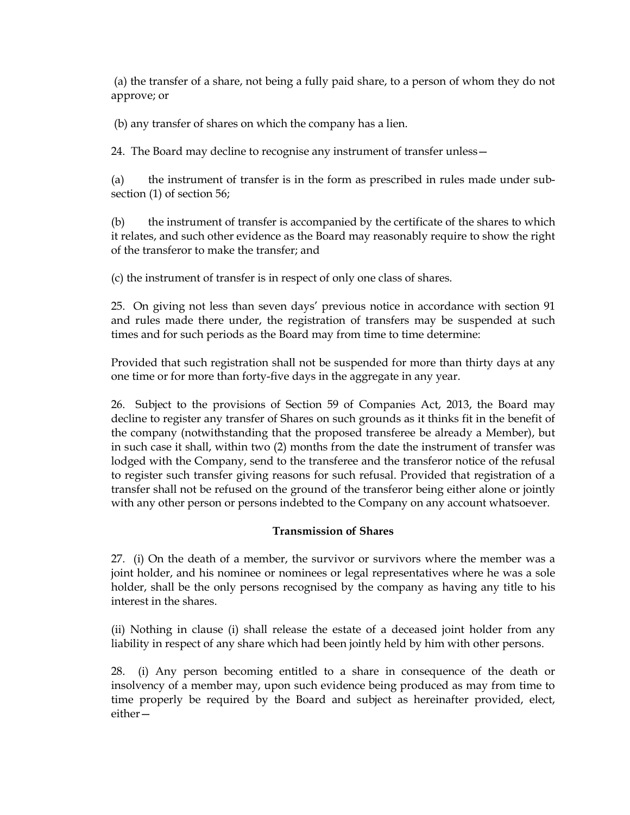(a) the transfer of a share, not being a fully paid share, to a person of whom they do not approve; or

(b) any transfer of shares on which the company has a lien.

24. The Board may decline to recognise any instrument of transfer unless—

(a) the instrument of transfer is in the form as prescribed in rules made under subsection (1) of section 56;

(b) the instrument of transfer is accompanied by the certificate of the shares to which it relates, and such other evidence as the Board may reasonably require to show the right of the transferor to make the transfer; and

(c) the instrument of transfer is in respect of only one class of shares.

25. On giving not less than seven days' previous notice in accordance with section 91 and rules made there under, the registration of transfers may be suspended at such times and for such periods as the Board may from time to time determine:

Provided that such registration shall not be suspended for more than thirty days at any one time or for more than forty-five days in the aggregate in any year.

26. Subject to the provisions of Section 59 of Companies Act, 2013, the Board may decline to register any transfer of Shares on such grounds as it thinks fit in the benefit of the company (notwithstanding that the proposed transferee be already a Member), but in such case it shall, within two (2) months from the date the instrument of transfer was lodged with the Company, send to the transferee and the transferor notice of the refusal to register such transfer giving reasons for such refusal. Provided that registration of a transfer shall not be refused on the ground of the transferor being either alone or jointly with any other person or persons indebted to the Company on any account whatsoever.

## Transmission of Shares

27. (i) On the death of a member, the survivor or survivors where the member was a joint holder, and his nominee or nominees or legal representatives where he was a sole holder, shall be the only persons recognised by the company as having any title to his interest in the shares.

(ii) Nothing in clause (i) shall release the estate of a deceased joint holder from any liability in respect of any share which had been jointly held by him with other persons.

28. (i) Any person becoming entitled to a share in consequence of the death or insolvency of a member may, upon such evidence being produced as may from time to time properly be required by the Board and subject as hereinafter provided, elect, either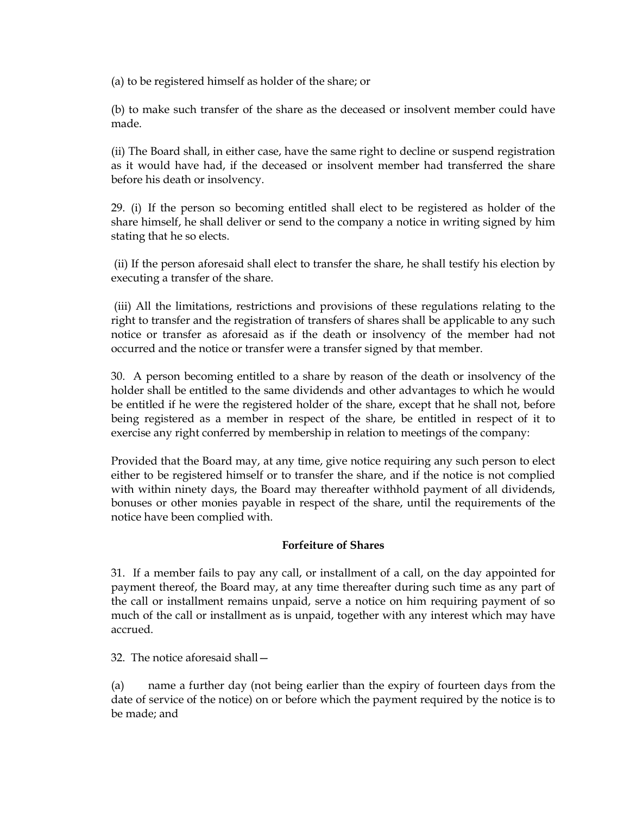(a) to be registered himself as holder of the share; or

(b) to make such transfer of the share as the deceased or insolvent member could have made.

(ii) The Board shall, in either case, have the same right to decline or suspend registration as it would have had, if the deceased or insolvent member had transferred the share before his death or insolvency.

29. (i) If the person so becoming entitled shall elect to be registered as holder of the share himself, he shall deliver or send to the company a notice in writing signed by him stating that he so elects.

 (ii) If the person aforesaid shall elect to transfer the share, he shall testify his election by executing a transfer of the share.

 (iii) All the limitations, restrictions and provisions of these regulations relating to the right to transfer and the registration of transfers of shares shall be applicable to any such notice or transfer as aforesaid as if the death or insolvency of the member had not occurred and the notice or transfer were a transfer signed by that member.

30. A person becoming entitled to a share by reason of the death or insolvency of the holder shall be entitled to the same dividends and other advantages to which he would be entitled if he were the registered holder of the share, except that he shall not, before being registered as a member in respect of the share, be entitled in respect of it to exercise any right conferred by membership in relation to meetings of the company:

Provided that the Board may, at any time, give notice requiring any such person to elect either to be registered himself or to transfer the share, and if the notice is not complied with within ninety days, the Board may thereafter withhold payment of all dividends, bonuses or other monies payable in respect of the share, until the requirements of the notice have been complied with.

#### Forfeiture of Shares

31. If a member fails to pay any call, or installment of a call, on the day appointed for payment thereof, the Board may, at any time thereafter during such time as any part of the call or installment remains unpaid, serve a notice on him requiring payment of so much of the call or installment as is unpaid, together with any interest which may have accrued.

32. The notice aforesaid shall—

(a) name a further day (not being earlier than the expiry of fourteen days from the date of service of the notice) on or before which the payment required by the notice is to be made; and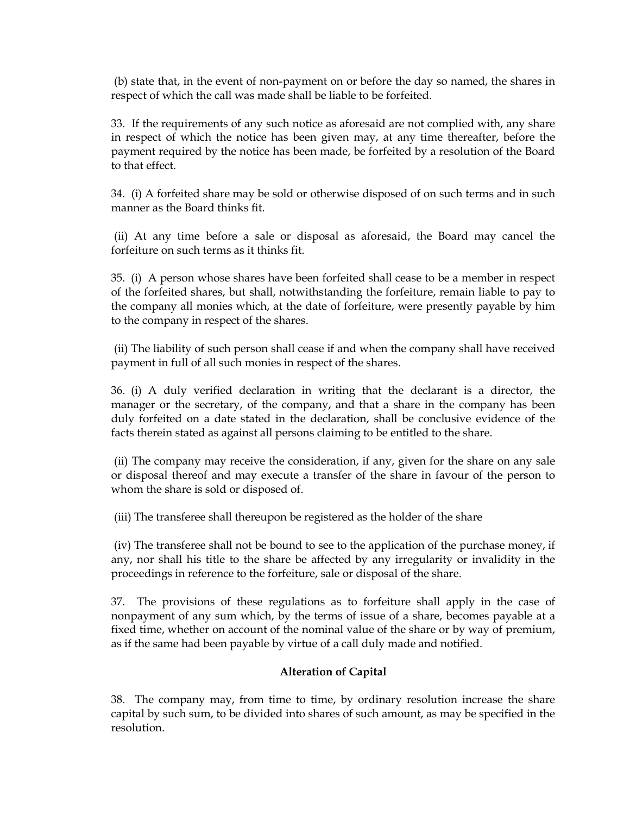(b) state that, in the event of non-payment on or before the day so named, the shares in respect of which the call was made shall be liable to be forfeited.

33. If the requirements of any such notice as aforesaid are not complied with, any share in respect of which the notice has been given may, at any time thereafter, before the payment required by the notice has been made, be forfeited by a resolution of the Board to that effect.

34. (i) A forfeited share may be sold or otherwise disposed of on such terms and in such manner as the Board thinks fit.

 (ii) At any time before a sale or disposal as aforesaid, the Board may cancel the forfeiture on such terms as it thinks fit.

35. (i) A person whose shares have been forfeited shall cease to be a member in respect of the forfeited shares, but shall, notwithstanding the forfeiture, remain liable to pay to the company all monies which, at the date of forfeiture, were presently payable by him to the company in respect of the shares.

 (ii) The liability of such person shall cease if and when the company shall have received payment in full of all such monies in respect of the shares.

36. (i) A duly verified declaration in writing that the declarant is a director, the manager or the secretary, of the company, and that a share in the company has been duly forfeited on a date stated in the declaration, shall be conclusive evidence of the facts therein stated as against all persons claiming to be entitled to the share.

 (ii) The company may receive the consideration, if any, given for the share on any sale or disposal thereof and may execute a transfer of the share in favour of the person to whom the share is sold or disposed of.

(iii) The transferee shall thereupon be registered as the holder of the share

 (iv) The transferee shall not be bound to see to the application of the purchase money, if any, nor shall his title to the share be affected by any irregularity or invalidity in the proceedings in reference to the forfeiture, sale or disposal of the share.

37. The provisions of these regulations as to forfeiture shall apply in the case of nonpayment of any sum which, by the terms of issue of a share, becomes payable at a fixed time, whether on account of the nominal value of the share or by way of premium, as if the same had been payable by virtue of a call duly made and notified.

## Alteration of Capital

38. The company may, from time to time, by ordinary resolution increase the share capital by such sum, to be divided into shares of such amount, as may be specified in the resolution.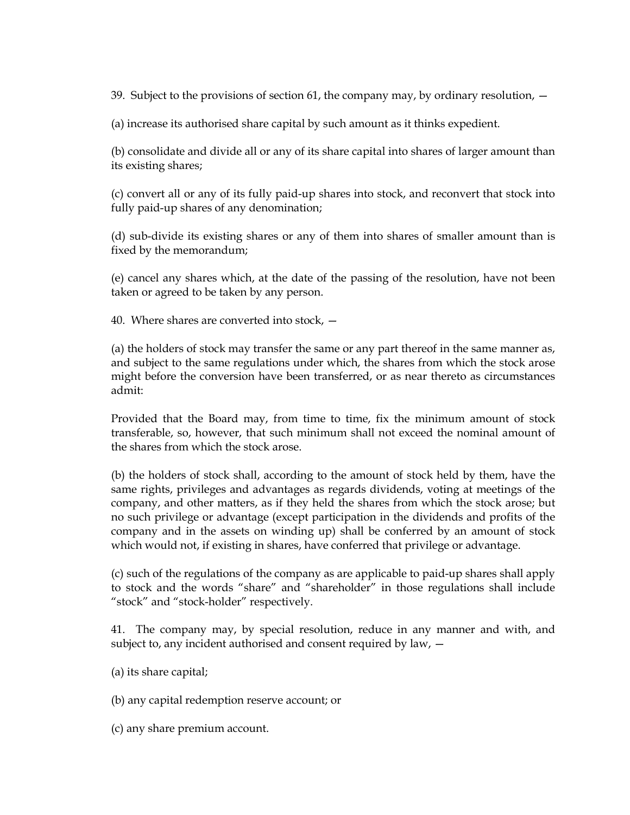39. Subject to the provisions of section 61, the company may, by ordinary resolution,  $-$ 

(a) increase its authorised share capital by such amount as it thinks expedient.

(b) consolidate and divide all or any of its share capital into shares of larger amount than its existing shares;

(c) convert all or any of its fully paid-up shares into stock, and reconvert that stock into fully paid-up shares of any denomination;

(d) sub-divide its existing shares or any of them into shares of smaller amount than is fixed by the memorandum;

(e) cancel any shares which, at the date of the passing of the resolution, have not been taken or agreed to be taken by any person.

40. Where shares are converted into stock, —

(a) the holders of stock may transfer the same or any part thereof in the same manner as, and subject to the same regulations under which, the shares from which the stock arose might before the conversion have been transferred, or as near thereto as circumstances admit:

Provided that the Board may, from time to time, fix the minimum amount of stock transferable, so, however, that such minimum shall not exceed the nominal amount of the shares from which the stock arose.

(b) the holders of stock shall, according to the amount of stock held by them, have the same rights, privileges and advantages as regards dividends, voting at meetings of the company, and other matters, as if they held the shares from which the stock arose; but no such privilege or advantage (except participation in the dividends and profits of the company and in the assets on winding up) shall be conferred by an amount of stock which would not, if existing in shares, have conferred that privilege or advantage.

(c) such of the regulations of the company as are applicable to paid-up shares shall apply to stock and the words "share" and "shareholder" in those regulations shall include "stock" and "stock-holder" respectively.

41. The company may, by special resolution, reduce in any manner and with, and subject to, any incident authorised and consent required by law, —

(a) its share capital;

(b) any capital redemption reserve account; or

(c) any share premium account.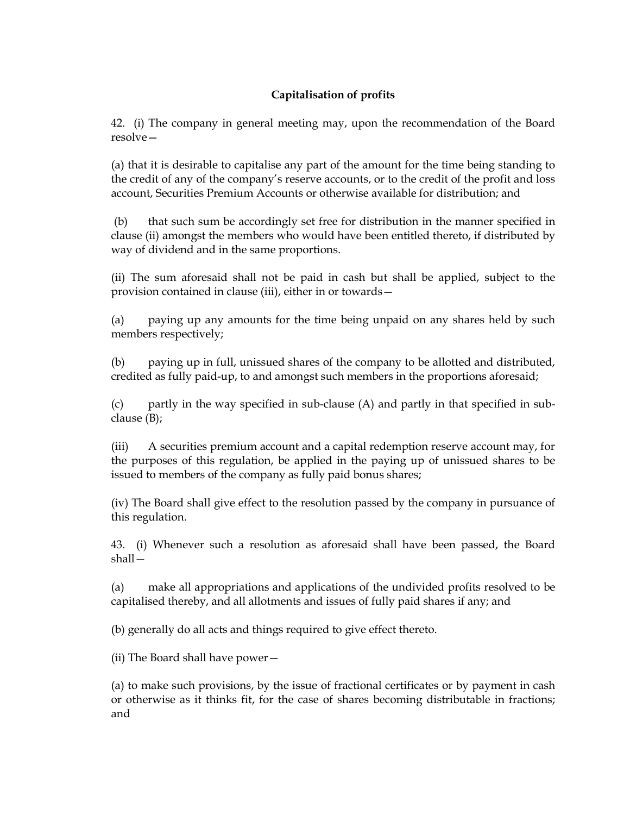## Capitalisation of profits

42. (i) The company in general meeting may, upon the recommendation of the Board resolve—

(a) that it is desirable to capitalise any part of the amount for the time being standing to the credit of any of the company's reserve accounts, or to the credit of the profit and loss account, Securities Premium Accounts or otherwise available for distribution; and

 (b) that such sum be accordingly set free for distribution in the manner specified in clause (ii) amongst the members who would have been entitled thereto, if distributed by way of dividend and in the same proportions.

(ii) The sum aforesaid shall not be paid in cash but shall be applied, subject to the provision contained in clause (iii), either in or towards—

(a) paying up any amounts for the time being unpaid on any shares held by such members respectively;

(b) paying up in full, unissued shares of the company to be allotted and distributed, credited as fully paid-up, to and amongst such members in the proportions aforesaid;

(c) partly in the way specified in sub-clause (A) and partly in that specified in subclause (B);

(iii) A securities premium account and a capital redemption reserve account may, for the purposes of this regulation, be applied in the paying up of unissued shares to be issued to members of the company as fully paid bonus shares;

(iv) The Board shall give effect to the resolution passed by the company in pursuance of this regulation.

43. (i) Whenever such a resolution as aforesaid shall have been passed, the Board shall—

(a) make all appropriations and applications of the undivided profits resolved to be capitalised thereby, and all allotments and issues of fully paid shares if any; and

(b) generally do all acts and things required to give effect thereto.

(ii) The Board shall have power—

(a) to make such provisions, by the issue of fractional certificates or by payment in cash or otherwise as it thinks fit, for the case of shares becoming distributable in fractions; and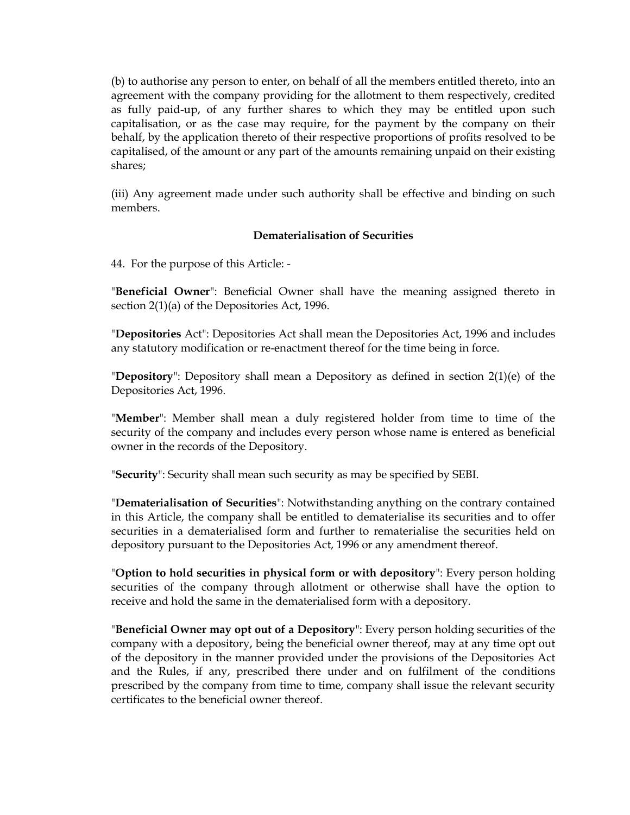(b) to authorise any person to enter, on behalf of all the members entitled thereto, into an agreement with the company providing for the allotment to them respectively, credited as fully paid-up, of any further shares to which they may be entitled upon such capitalisation, or as the case may require, for the payment by the company on their behalf, by the application thereto of their respective proportions of profits resolved to be capitalised, of the amount or any part of the amounts remaining unpaid on their existing shares;

(iii) Any agreement made under such authority shall be effective and binding on such members.

## Dematerialisation of Securities

44. For the purpose of this Article: -

"Beneficial Owner": Beneficial Owner shall have the meaning assigned thereto in section 2(1)(a) of the Depositories Act, 1996.

"Depositories Act": Depositories Act shall mean the Depositories Act, 1996 and includes any statutory modification or re-enactment thereof for the time being in force.

"Depository": Depository shall mean a Depository as defined in section 2(1)(e) of the Depositories Act, 1996.

"Member": Member shall mean a duly registered holder from time to time of the security of the company and includes every person whose name is entered as beneficial owner in the records of the Depository.

"Security": Security shall mean such security as may be specified by SEBI.

"Dematerialisation of Securities": Notwithstanding anything on the contrary contained in this Article, the company shall be entitled to dematerialise its securities and to offer securities in a dematerialised form and further to rematerialise the securities held on depository pursuant to the Depositories Act, 1996 or any amendment thereof.

"Option to hold securities in physical form or with depository": Every person holding securities of the company through allotment or otherwise shall have the option to receive and hold the same in the dematerialised form with a depository.

"Beneficial Owner may opt out of a Depository": Every person holding securities of the company with a depository, being the beneficial owner thereof, may at any time opt out of the depository in the manner provided under the provisions of the Depositories Act and the Rules, if any, prescribed there under and on fulfilment of the conditions prescribed by the company from time to time, company shall issue the relevant security certificates to the beneficial owner thereof.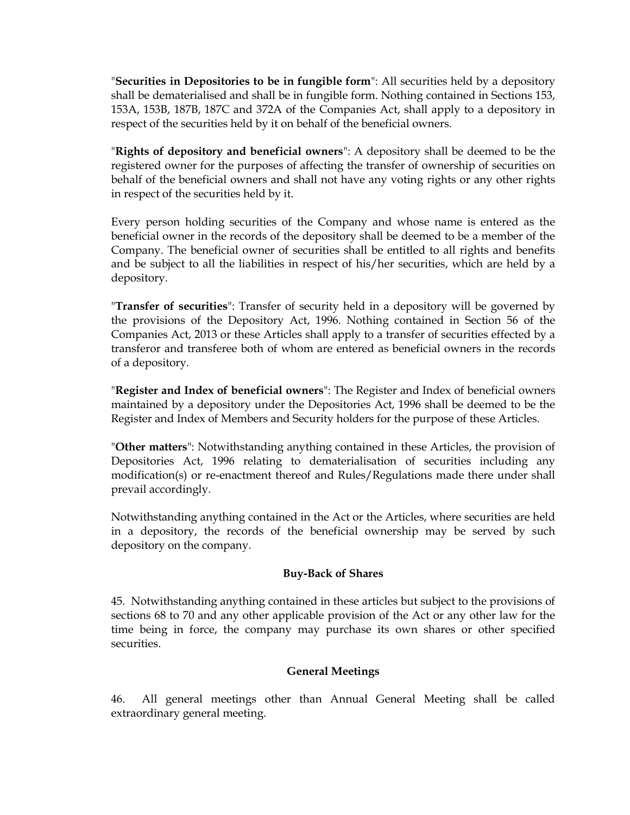"Securities in Depositories to be in fungible form": All securities held by a depository shall be dematerialised and shall be in fungible form. Nothing contained in Sections 153, 153A, 153B, 187B, 187C and 372A of the Companies Act, shall apply to a depository in respect of the securities held by it on behalf of the beneficial owners.

"Rights of depository and beneficial owners": A depository shall be deemed to be the registered owner for the purposes of affecting the transfer of ownership of securities on behalf of the beneficial owners and shall not have any voting rights or any other rights in respect of the securities held by it.

Every person holding securities of the Company and whose name is entered as the beneficial owner in the records of the depository shall be deemed to be a member of the Company. The beneficial owner of securities shall be entitled to all rights and benefits and be subject to all the liabilities in respect of his/her securities, which are held by a depository.

"Transfer of securities": Transfer of security held in a depository will be governed by the provisions of the Depository Act, 1996. Nothing contained in Section 56 of the Companies Act, 2013 or these Articles shall apply to a transfer of securities effected by a transferor and transferee both of whom are entered as beneficial owners in the records of a depository.

"Register and Index of beneficial owners": The Register and Index of beneficial owners maintained by a depository under the Depositories Act, 1996 shall be deemed to be the Register and Index of Members and Security holders for the purpose of these Articles.

"Other matters": Notwithstanding anything contained in these Articles, the provision of Depositories Act, 1996 relating to dematerialisation of securities including any modification(s) or re-enactment thereof and Rules/Regulations made there under shall prevail accordingly.

Notwithstanding anything contained in the Act or the Articles, where securities are held in a depository, the records of the beneficial ownership may be served by such depository on the company.

## Buy-Back of Shares

45. Notwithstanding anything contained in these articles but subject to the provisions of sections 68 to 70 and any other applicable provision of the Act or any other law for the time being in force, the company may purchase its own shares or other specified securities.

## General Meetings

46. All general meetings other than Annual General Meeting shall be called extraordinary general meeting.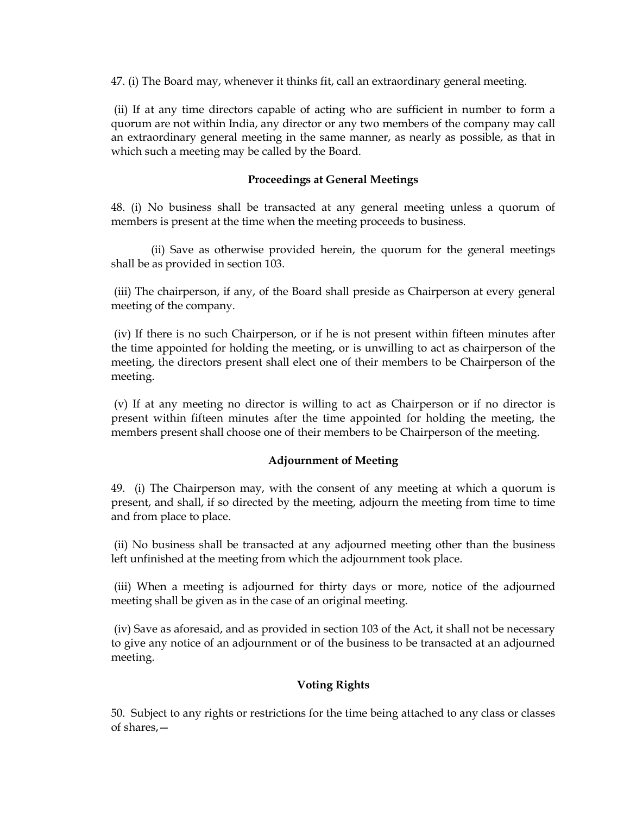47. (i) The Board may, whenever it thinks fit, call an extraordinary general meeting.

 (ii) If at any time directors capable of acting who are sufficient in number to form a quorum are not within India, any director or any two members of the company may call an extraordinary general meeting in the same manner, as nearly as possible, as that in which such a meeting may be called by the Board.

## Proceedings at General Meetings

48. (i) No business shall be transacted at any general meeting unless a quorum of members is present at the time when the meeting proceeds to business.

 (ii) Save as otherwise provided herein, the quorum for the general meetings shall be as provided in section 103.

 (iii) The chairperson, if any, of the Board shall preside as Chairperson at every general meeting of the company.

 (iv) If there is no such Chairperson, or if he is not present within fifteen minutes after the time appointed for holding the meeting, or is unwilling to act as chairperson of the meeting, the directors present shall elect one of their members to be Chairperson of the meeting.

 (v) If at any meeting no director is willing to act as Chairperson or if no director is present within fifteen minutes after the time appointed for holding the meeting, the members present shall choose one of their members to be Chairperson of the meeting.

## Adjournment of Meeting

49. (i) The Chairperson may, with the consent of any meeting at which a quorum is present, and shall, if so directed by the meeting, adjourn the meeting from time to time and from place to place.

 (ii) No business shall be transacted at any adjourned meeting other than the business left unfinished at the meeting from which the adjournment took place.

 (iii) When a meeting is adjourned for thirty days or more, notice of the adjourned meeting shall be given as in the case of an original meeting.

 (iv) Save as aforesaid, and as provided in section 103 of the Act, it shall not be necessary to give any notice of an adjournment or of the business to be transacted at an adjourned meeting.

## Voting Rights

50. Subject to any rights or restrictions for the time being attached to any class or classes of shares,—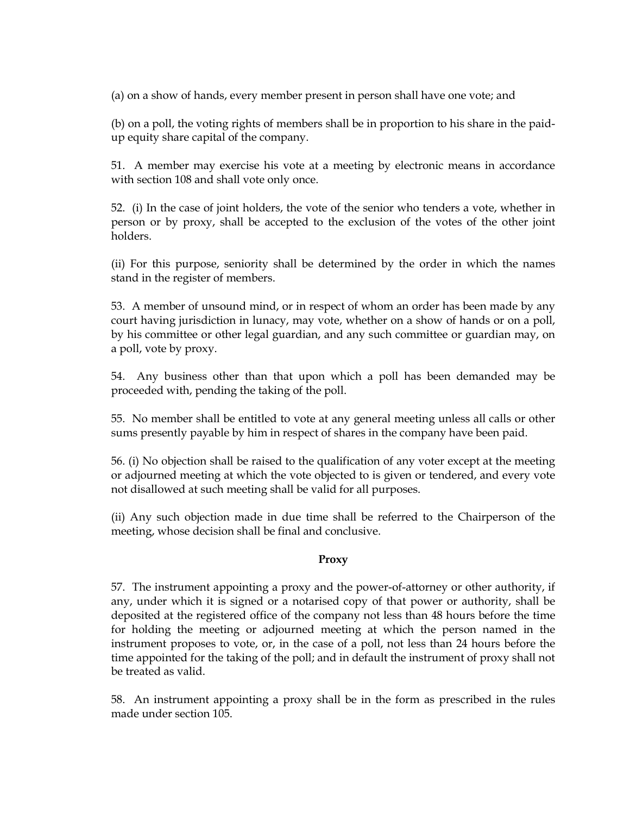(a) on a show of hands, every member present in person shall have one vote; and

(b) on a poll, the voting rights of members shall be in proportion to his share in the paidup equity share capital of the company.

51. A member may exercise his vote at a meeting by electronic means in accordance with section 108 and shall vote only once.

52. (i) In the case of joint holders, the vote of the senior who tenders a vote, whether in person or by proxy, shall be accepted to the exclusion of the votes of the other joint holders.

(ii) For this purpose, seniority shall be determined by the order in which the names stand in the register of members.

53. A member of unsound mind, or in respect of whom an order has been made by any court having jurisdiction in lunacy, may vote, whether on a show of hands or on a poll, by his committee or other legal guardian, and any such committee or guardian may, on a poll, vote by proxy.

54. Any business other than that upon which a poll has been demanded may be proceeded with, pending the taking of the poll.

55. No member shall be entitled to vote at any general meeting unless all calls or other sums presently payable by him in respect of shares in the company have been paid.

56. (i) No objection shall be raised to the qualification of any voter except at the meeting or adjourned meeting at which the vote objected to is given or tendered, and every vote not disallowed at such meeting shall be valid for all purposes.

(ii) Any such objection made in due time shall be referred to the Chairperson of the meeting, whose decision shall be final and conclusive.

#### Proxy

57. The instrument appointing a proxy and the power-of-attorney or other authority, if any, under which it is signed or a notarised copy of that power or authority, shall be deposited at the registered office of the company not less than 48 hours before the time for holding the meeting or adjourned meeting at which the person named in the instrument proposes to vote, or, in the case of a poll, not less than 24 hours before the time appointed for the taking of the poll; and in default the instrument of proxy shall not be treated as valid.

58. An instrument appointing a proxy shall be in the form as prescribed in the rules made under section 105.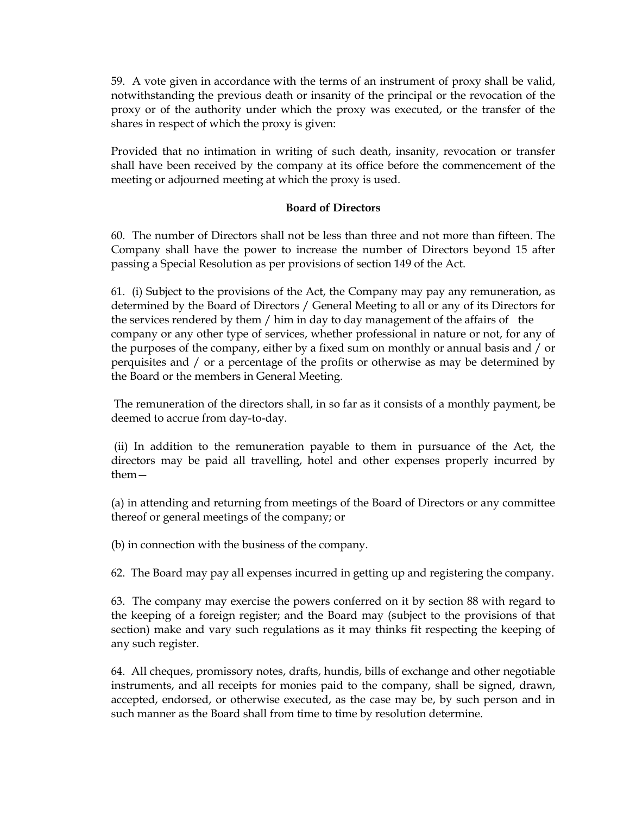59. A vote given in accordance with the terms of an instrument of proxy shall be valid, notwithstanding the previous death or insanity of the principal or the revocation of the proxy or of the authority under which the proxy was executed, or the transfer of the shares in respect of which the proxy is given:

Provided that no intimation in writing of such death, insanity, revocation or transfer shall have been received by the company at its office before the commencement of the meeting or adjourned meeting at which the proxy is used.

## Board of Directors

60. The number of Directors shall not be less than three and not more than fifteen. The Company shall have the power to increase the number of Directors beyond 15 after passing a Special Resolution as per provisions of section 149 of the Act.

61. (i) Subject to the provisions of the Act, the Company may pay any remuneration, as determined by the Board of Directors / General Meeting to all or any of its Directors for the services rendered by them / him in day to day management of the affairs of the company or any other type of services, whether professional in nature or not, for any of the purposes of the company, either by a fixed sum on monthly or annual basis and / or perquisites and / or a percentage of the profits or otherwise as may be determined by the Board or the members in General Meeting.

 The remuneration of the directors shall, in so far as it consists of a monthly payment, be deemed to accrue from day-to-day.

 (ii) In addition to the remuneration payable to them in pursuance of the Act, the directors may be paid all travelling, hotel and other expenses properly incurred by them—

(a) in attending and returning from meetings of the Board of Directors or any committee thereof or general meetings of the company; or

(b) in connection with the business of the company.

62. The Board may pay all expenses incurred in getting up and registering the company.

63. The company may exercise the powers conferred on it by section 88 with regard to the keeping of a foreign register; and the Board may (subject to the provisions of that section) make and vary such regulations as it may thinks fit respecting the keeping of any such register.

64. All cheques, promissory notes, drafts, hundis, bills of exchange and other negotiable instruments, and all receipts for monies paid to the company, shall be signed, drawn, accepted, endorsed, or otherwise executed, as the case may be, by such person and in such manner as the Board shall from time to time by resolution determine.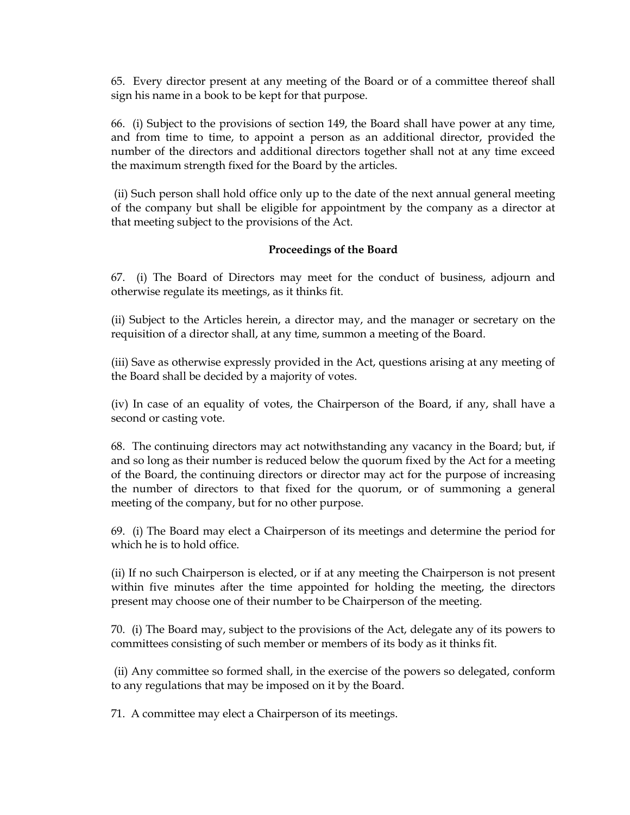65. Every director present at any meeting of the Board or of a committee thereof shall sign his name in a book to be kept for that purpose.

66. (i) Subject to the provisions of section 149, the Board shall have power at any time, and from time to time, to appoint a person as an additional director, provided the number of the directors and additional directors together shall not at any time exceed the maximum strength fixed for the Board by the articles.

 (ii) Such person shall hold office only up to the date of the next annual general meeting of the company but shall be eligible for appointment by the company as a director at that meeting subject to the provisions of the Act.

## Proceedings of the Board

67. (i) The Board of Directors may meet for the conduct of business, adjourn and otherwise regulate its meetings, as it thinks fit.

(ii) Subject to the Articles herein, a director may, and the manager or secretary on the requisition of a director shall, at any time, summon a meeting of the Board.

(iii) Save as otherwise expressly provided in the Act, questions arising at any meeting of the Board shall be decided by a majority of votes.

(iv) In case of an equality of votes, the Chairperson of the Board, if any, shall have a second or casting vote.

68. The continuing directors may act notwithstanding any vacancy in the Board; but, if and so long as their number is reduced below the quorum fixed by the Act for a meeting of the Board, the continuing directors or director may act for the purpose of increasing the number of directors to that fixed for the quorum, or of summoning a general meeting of the company, but for no other purpose.

69. (i) The Board may elect a Chairperson of its meetings and determine the period for which he is to hold office.

(ii) If no such Chairperson is elected, or if at any meeting the Chairperson is not present within five minutes after the time appointed for holding the meeting, the directors present may choose one of their number to be Chairperson of the meeting.

70. (i) The Board may, subject to the provisions of the Act, delegate any of its powers to committees consisting of such member or members of its body as it thinks fit.

 (ii) Any committee so formed shall, in the exercise of the powers so delegated, conform to any regulations that may be imposed on it by the Board.

71. A committee may elect a Chairperson of its meetings.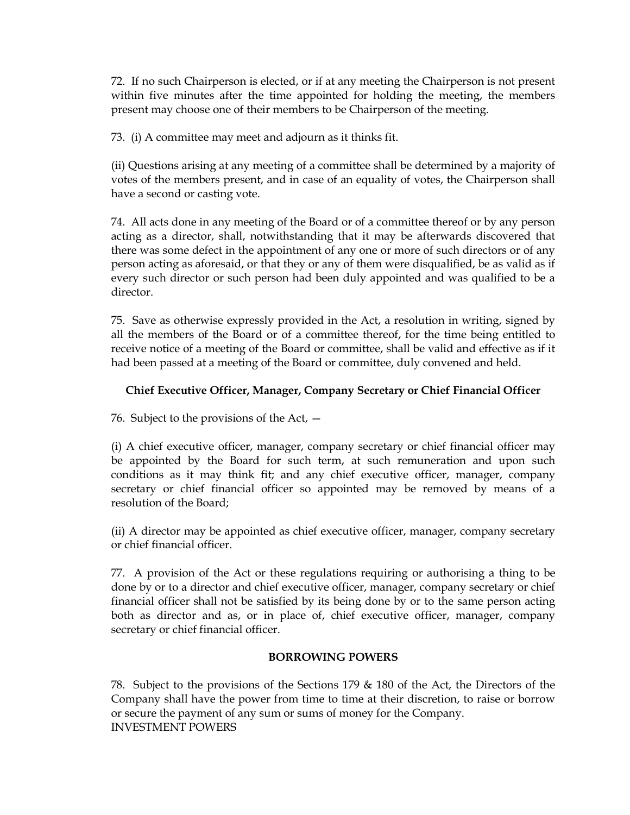72. If no such Chairperson is elected, or if at any meeting the Chairperson is not present within five minutes after the time appointed for holding the meeting, the members present may choose one of their members to be Chairperson of the meeting.

73. (i) A committee may meet and adjourn as it thinks fit.

(ii) Questions arising at any meeting of a committee shall be determined by a majority of votes of the members present, and in case of an equality of votes, the Chairperson shall have a second or casting vote.

74. All acts done in any meeting of the Board or of a committee thereof or by any person acting as a director, shall, notwithstanding that it may be afterwards discovered that there was some defect in the appointment of any one or more of such directors or of any person acting as aforesaid, or that they or any of them were disqualified, be as valid as if every such director or such person had been duly appointed and was qualified to be a director.

75. Save as otherwise expressly provided in the Act, a resolution in writing, signed by all the members of the Board or of a committee thereof, for the time being entitled to receive notice of a meeting of the Board or committee, shall be valid and effective as if it had been passed at a meeting of the Board or committee, duly convened and held.

# Chief Executive Officer, Manager, Company Secretary or Chief Financial Officer

76. Subject to the provisions of the Act, —

(i) A chief executive officer, manager, company secretary or chief financial officer may be appointed by the Board for such term, at such remuneration and upon such conditions as it may think fit; and any chief executive officer, manager, company secretary or chief financial officer so appointed may be removed by means of a resolution of the Board;

(ii) A director may be appointed as chief executive officer, manager, company secretary or chief financial officer.

77. A provision of the Act or these regulations requiring or authorising a thing to be done by or to a director and chief executive officer, manager, company secretary or chief financial officer shall not be satisfied by its being done by or to the same person acting both as director and as, or in place of, chief executive officer, manager, company secretary or chief financial officer.

## BORROWING POWERS

78. Subject to the provisions of the Sections 179 & 180 of the Act, the Directors of the Company shall have the power from time to time at their discretion, to raise or borrow or secure the payment of any sum or sums of money for the Company. INVESTMENT POWERS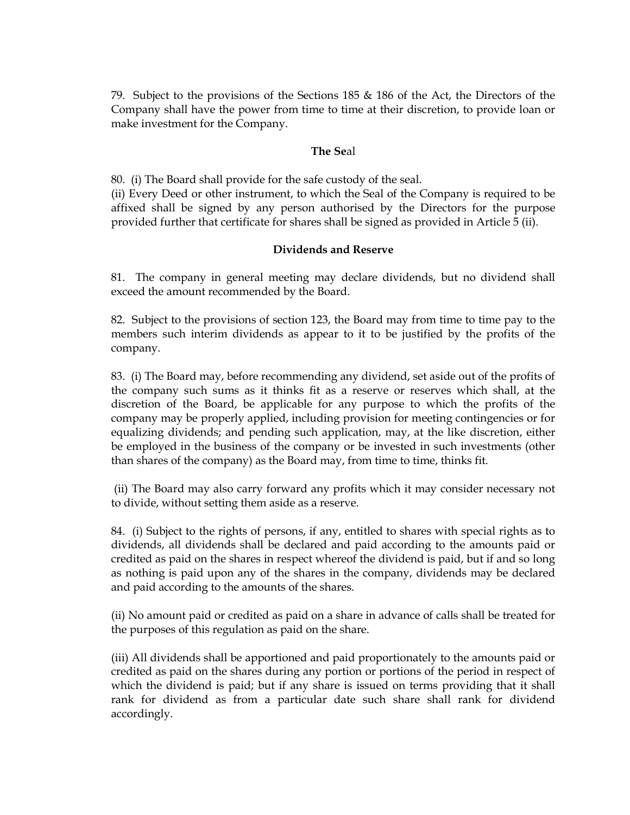79. Subject to the provisions of the Sections 185 & 186 of the Act, the Directors of the Company shall have the power from time to time at their discretion, to provide loan or make investment for the Company.

#### The Seal

80. (i) The Board shall provide for the safe custody of the seal.

(ii) Every Deed or other instrument, to which the Seal of the Company is required to be affixed shall be signed by any person authorised by the Directors for the purpose provided further that certificate for shares shall be signed as provided in Article 5 (ii).

#### Dividends and Reserve

81. The company in general meeting may declare dividends, but no dividend shall exceed the amount recommended by the Board.

82. Subject to the provisions of section 123, the Board may from time to time pay to the members such interim dividends as appear to it to be justified by the profits of the company.

83. (i) The Board may, before recommending any dividend, set aside out of the profits of the company such sums as it thinks fit as a reserve or reserves which shall, at the discretion of the Board, be applicable for any purpose to which the profits of the company may be properly applied, including provision for meeting contingencies or for equalizing dividends; and pending such application, may, at the like discretion, either be employed in the business of the company or be invested in such investments (other than shares of the company) as the Board may, from time to time, thinks fit.

 (ii) The Board may also carry forward any profits which it may consider necessary not to divide, without setting them aside as a reserve.

84. (i) Subject to the rights of persons, if any, entitled to shares with special rights as to dividends, all dividends shall be declared and paid according to the amounts paid or credited as paid on the shares in respect whereof the dividend is paid, but if and so long as nothing is paid upon any of the shares in the company, dividends may be declared and paid according to the amounts of the shares.

(ii) No amount paid or credited as paid on a share in advance of calls shall be treated for the purposes of this regulation as paid on the share.

(iii) All dividends shall be apportioned and paid proportionately to the amounts paid or credited as paid on the shares during any portion or portions of the period in respect of which the dividend is paid; but if any share is issued on terms providing that it shall rank for dividend as from a particular date such share shall rank for dividend accordingly.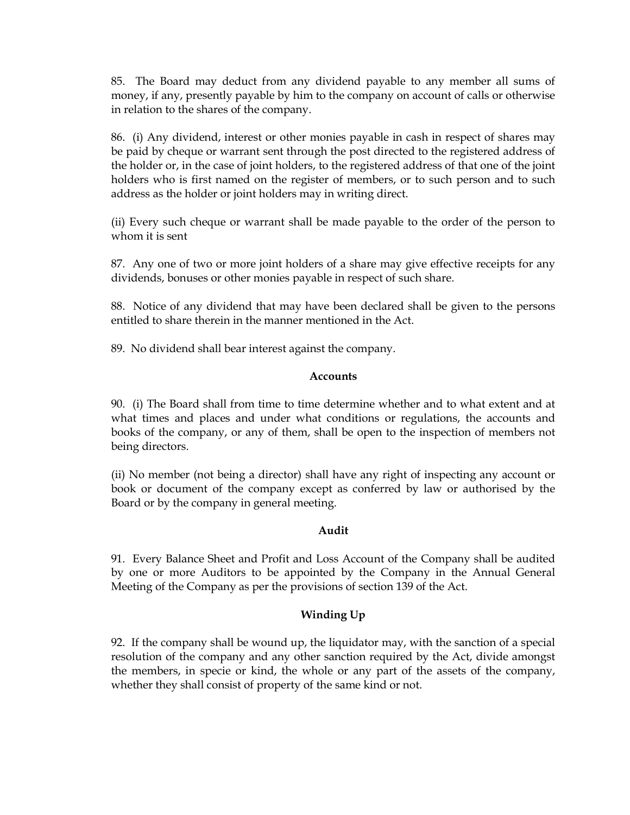85. The Board may deduct from any dividend payable to any member all sums of money, if any, presently payable by him to the company on account of calls or otherwise in relation to the shares of the company.

86. (i) Any dividend, interest or other monies payable in cash in respect of shares may be paid by cheque or warrant sent through the post directed to the registered address of the holder or, in the case of joint holders, to the registered address of that one of the joint holders who is first named on the register of members, or to such person and to such address as the holder or joint holders may in writing direct.

(ii) Every such cheque or warrant shall be made payable to the order of the person to whom it is sent

87. Any one of two or more joint holders of a share may give effective receipts for any dividends, bonuses or other monies payable in respect of such share.

88. Notice of any dividend that may have been declared shall be given to the persons entitled to share therein in the manner mentioned in the Act.

89. No dividend shall bear interest against the company.

#### Accounts

90. (i) The Board shall from time to time determine whether and to what extent and at what times and places and under what conditions or regulations, the accounts and books of the company, or any of them, shall be open to the inspection of members not being directors.

(ii) No member (not being a director) shall have any right of inspecting any account or book or document of the company except as conferred by law or authorised by the Board or by the company in general meeting.

#### Audit

91. Every Balance Sheet and Profit and Loss Account of the Company shall be audited by one or more Auditors to be appointed by the Company in the Annual General Meeting of the Company as per the provisions of section 139 of the Act.

## Winding Up

92. If the company shall be wound up, the liquidator may, with the sanction of a special resolution of the company and any other sanction required by the Act, divide amongst the members, in specie or kind, the whole or any part of the assets of the company, whether they shall consist of property of the same kind or not.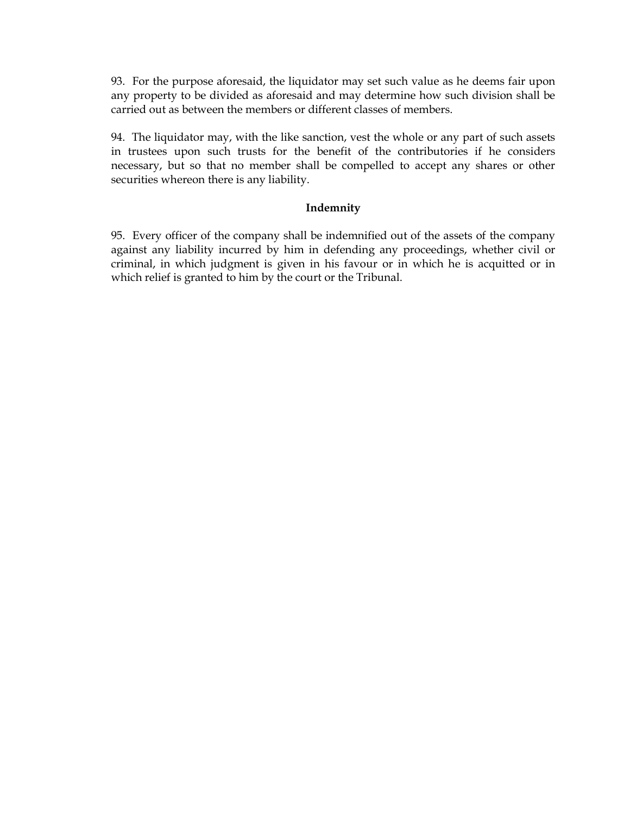93. For the purpose aforesaid, the liquidator may set such value as he deems fair upon any property to be divided as aforesaid and may determine how such division shall be carried out as between the members or different classes of members.

94. The liquidator may, with the like sanction, vest the whole or any part of such assets in trustees upon such trusts for the benefit of the contributories if he considers necessary, but so that no member shall be compelled to accept any shares or other securities whereon there is any liability.

#### Indemnity

95. Every officer of the company shall be indemnified out of the assets of the company against any liability incurred by him in defending any proceedings, whether civil or criminal, in which judgment is given in his favour or in which he is acquitted or in which relief is granted to him by the court or the Tribunal.